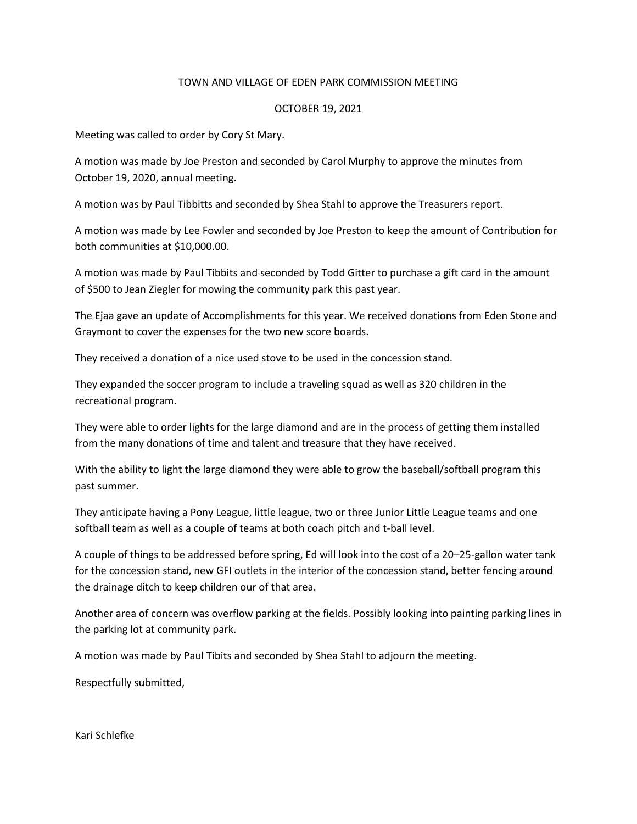## TOWN AND VILLAGE OF EDEN PARK COMMISSION MEETING

## OCTOBER 19, 2021

Meeting was called to order by Cory St Mary.

A motion was made by Joe Preston and seconded by Carol Murphy to approve the minutes from October 19, 2020, annual meeting.

A motion was by Paul Tibbitts and seconded by Shea Stahl to approve the Treasurers report.

A motion was made by Lee Fowler and seconded by Joe Preston to keep the amount of Contribution for both communities at \$10,000.00.

A motion was made by Paul Tibbits and seconded by Todd Gitter to purchase a gift card in the amount of \$500 to Jean Ziegler for mowing the community park this past year.

The Ejaa gave an update of Accomplishments for this year. We received donations from Eden Stone and Graymont to cover the expenses for the two new score boards.

They received a donation of a nice used stove to be used in the concession stand.

They expanded the soccer program to include a traveling squad as well as 320 children in the recreational program.

They were able to order lights for the large diamond and are in the process of getting them installed from the many donations of time and talent and treasure that they have received.

With the ability to light the large diamond they were able to grow the baseball/softball program this past summer.

They anticipate having a Pony League, little league, two or three Junior Little League teams and one softball team as well as a couple of teams at both coach pitch and t-ball level.

A couple of things to be addressed before spring, Ed will look into the cost of a 20–25-gallon water tank for the concession stand, new GFI outlets in the interior of the concession stand, better fencing around the drainage ditch to keep children our of that area.

Another area of concern was overflow parking at the fields. Possibly looking into painting parking lines in the parking lot at community park.

A motion was made by Paul Tibits and seconded by Shea Stahl to adjourn the meeting.

Respectfully submitted,

Kari Schlefke